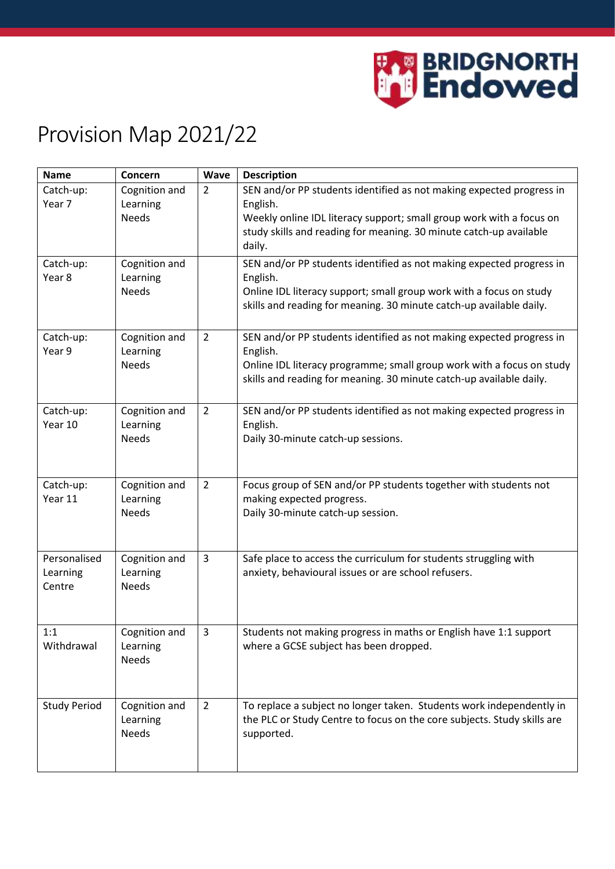

## Provision Map 2021/22

| <b>Name</b>                        | Concern                                   | <b>Wave</b>    | <b>Description</b>                                                                                                                                                                                                                       |
|------------------------------------|-------------------------------------------|----------------|------------------------------------------------------------------------------------------------------------------------------------------------------------------------------------------------------------------------------------------|
| Catch-up:<br>Year 7                | Cognition and<br>Learning<br><b>Needs</b> | $\overline{2}$ | SEN and/or PP students identified as not making expected progress in<br>English.<br>Weekly online IDL literacy support; small group work with a focus on<br>study skills and reading for meaning. 30 minute catch-up available<br>daily. |
| Catch-up:<br>Year 8                | Cognition and<br>Learning<br><b>Needs</b> |                | SEN and/or PP students identified as not making expected progress in<br>English.<br>Online IDL literacy support; small group work with a focus on study<br>skills and reading for meaning. 30 minute catch-up available daily.           |
| Catch-up:<br>Year 9                | Cognition and<br>Learning<br><b>Needs</b> | $\overline{2}$ | SEN and/or PP students identified as not making expected progress in<br>English.<br>Online IDL literacy programme; small group work with a focus on study<br>skills and reading for meaning. 30 minute catch-up available daily.         |
| Catch-up:<br>Year 10               | Cognition and<br>Learning<br><b>Needs</b> | $\overline{2}$ | SEN and/or PP students identified as not making expected progress in<br>English.<br>Daily 30-minute catch-up sessions.                                                                                                                   |
| Catch-up:<br>Year 11               | Cognition and<br>Learning<br><b>Needs</b> | $\overline{2}$ | Focus group of SEN and/or PP students together with students not<br>making expected progress.<br>Daily 30-minute catch-up session.                                                                                                       |
| Personalised<br>Learning<br>Centre | Cognition and<br>Learning<br><b>Needs</b> | 3              | Safe place to access the curriculum for students struggling with<br>anxiety, behavioural issues or are school refusers.                                                                                                                  |
| 1:1<br>Withdrawal                  | Cognition and<br>Learning<br><b>Needs</b> | $\overline{3}$ | Students not making progress in maths or English have 1:1 support<br>where a GCSE subject has been dropped.                                                                                                                              |
| <b>Study Period</b>                | Cognition and<br>Learning<br>Needs        | $\overline{2}$ | To replace a subject no longer taken. Students work independently in<br>the PLC or Study Centre to focus on the core subjects. Study skills are<br>supported.                                                                            |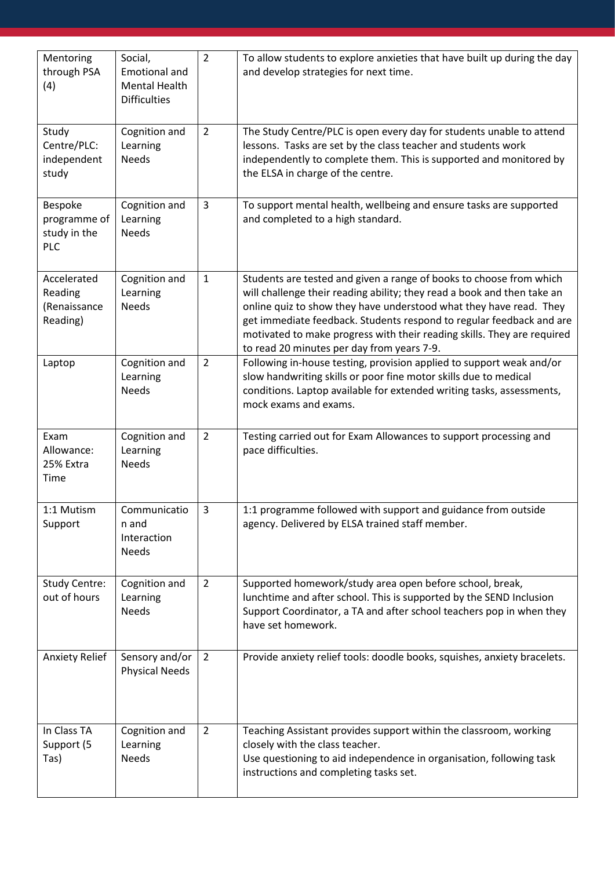| Mentoring<br>through PSA<br>(4)                    | Social,<br><b>Emotional and</b><br><b>Mental Health</b><br><b>Difficulties</b> | $\overline{2}$ | To allow students to explore anxieties that have built up during the day<br>and develop strategies for next time.                                                                                                                                                                                                                                                                                                     |
|----------------------------------------------------|--------------------------------------------------------------------------------|----------------|-----------------------------------------------------------------------------------------------------------------------------------------------------------------------------------------------------------------------------------------------------------------------------------------------------------------------------------------------------------------------------------------------------------------------|
| Study<br>Centre/PLC:<br>independent<br>study       | Cognition and<br>Learning<br><b>Needs</b>                                      | $\overline{2}$ | The Study Centre/PLC is open every day for students unable to attend<br>lessons. Tasks are set by the class teacher and students work<br>independently to complete them. This is supported and monitored by<br>the ELSA in charge of the centre.                                                                                                                                                                      |
| Bespoke<br>programme of<br>study in the<br>PLC     | Cognition and<br>Learning<br><b>Needs</b>                                      | 3              | To support mental health, wellbeing and ensure tasks are supported<br>and completed to a high standard.                                                                                                                                                                                                                                                                                                               |
| Accelerated<br>Reading<br>(Renaissance<br>Reading) | Cognition and<br>Learning<br><b>Needs</b>                                      | $\mathbf{1}$   | Students are tested and given a range of books to choose from which<br>will challenge their reading ability; they read a book and then take an<br>online quiz to show they have understood what they have read. They<br>get immediate feedback. Students respond to regular feedback and are<br>motivated to make progress with their reading skills. They are required<br>to read 20 minutes per day from years 7-9. |
| Laptop                                             | Cognition and<br>Learning<br><b>Needs</b>                                      | $\overline{2}$ | Following in-house testing, provision applied to support weak and/or<br>slow handwriting skills or poor fine motor skills due to medical<br>conditions. Laptop available for extended writing tasks, assessments,<br>mock exams and exams.                                                                                                                                                                            |
| Exam<br>Allowance:<br>25% Extra<br>Time            | Cognition and<br>Learning<br><b>Needs</b>                                      | $\overline{2}$ | Testing carried out for Exam Allowances to support processing and<br>pace difficulties.                                                                                                                                                                                                                                                                                                                               |
| 1:1 Mutism<br>Support                              | Communicatio<br>n and<br>Interaction<br><b>Needs</b>                           | 3              | 1:1 programme followed with support and guidance from outside<br>agency. Delivered by ELSA trained staff member.                                                                                                                                                                                                                                                                                                      |
| <b>Study Centre:</b><br>out of hours               | Cognition and<br>Learning<br><b>Needs</b>                                      | $\overline{2}$ | Supported homework/study area open before school, break,<br>lunchtime and after school. This is supported by the SEND Inclusion<br>Support Coordinator, a TA and after school teachers pop in when they<br>have set homework.                                                                                                                                                                                         |
| <b>Anxiety Relief</b>                              | Sensory and/or<br><b>Physical Needs</b>                                        | $\overline{2}$ | Provide anxiety relief tools: doodle books, squishes, anxiety bracelets.                                                                                                                                                                                                                                                                                                                                              |
| In Class TA<br>Support (5<br>Tas)                  | Cognition and<br>Learning<br><b>Needs</b>                                      | $\overline{2}$ | Teaching Assistant provides support within the classroom, working<br>closely with the class teacher.<br>Use questioning to aid independence in organisation, following task<br>instructions and completing tasks set.                                                                                                                                                                                                 |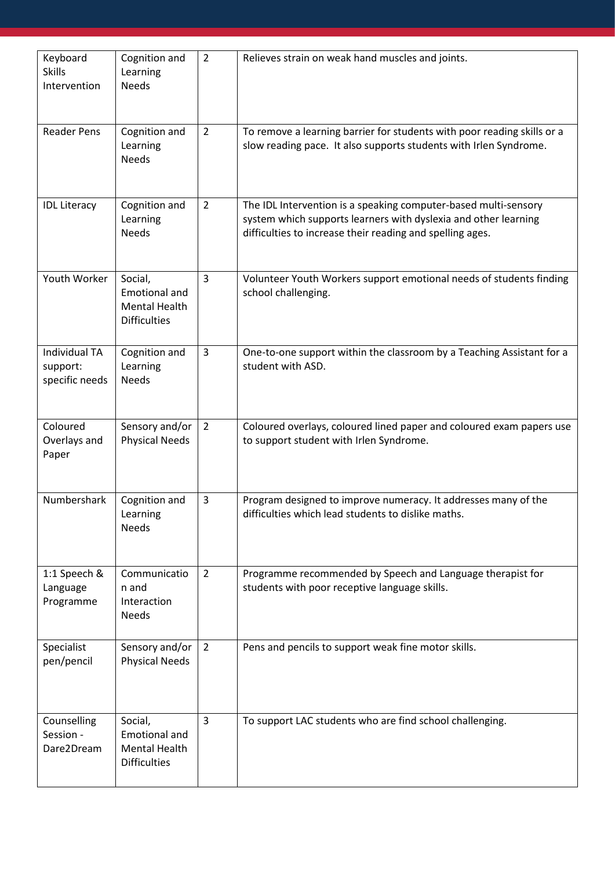| Keyboard<br><b>Skills</b><br>Intervention          | Cognition and<br>Learning<br><b>Needs</b>                                      | $\overline{2}$ | Relieves strain on weak hand muscles and joints.                                                                                                                                                |
|----------------------------------------------------|--------------------------------------------------------------------------------|----------------|-------------------------------------------------------------------------------------------------------------------------------------------------------------------------------------------------|
| <b>Reader Pens</b>                                 | Cognition and<br>Learning<br><b>Needs</b>                                      | $\overline{2}$ | To remove a learning barrier for students with poor reading skills or a<br>slow reading pace. It also supports students with Irlen Syndrome.                                                    |
| <b>IDL Literacy</b>                                | Cognition and<br>Learning<br><b>Needs</b>                                      | $\overline{2}$ | The IDL Intervention is a speaking computer-based multi-sensory<br>system which supports learners with dyslexia and other learning<br>difficulties to increase their reading and spelling ages. |
| Youth Worker                                       | Social,<br><b>Emotional and</b><br><b>Mental Health</b><br><b>Difficulties</b> | $\overline{3}$ | Volunteer Youth Workers support emotional needs of students finding<br>school challenging.                                                                                                      |
| <b>Individual TA</b><br>support:<br>specific needs | Cognition and<br>Learning<br><b>Needs</b>                                      | 3              | One-to-one support within the classroom by a Teaching Assistant for a<br>student with ASD.                                                                                                      |
| Coloured<br>Overlays and<br>Paper                  | Sensory and/or<br><b>Physical Needs</b>                                        | $\overline{2}$ | Coloured overlays, coloured lined paper and coloured exam papers use<br>to support student with Irlen Syndrome.                                                                                 |
| Numbershark                                        | Cognition and<br>Learning<br><b>Needs</b>                                      | $\overline{3}$ | Program designed to improve numeracy. It addresses many of the<br>difficulties which lead students to dislike maths.                                                                            |
| 1:1 Speech &<br>Language<br>Programme              | Communicatio<br>n and<br>Interaction<br><b>Needs</b>                           | $\overline{2}$ | Programme recommended by Speech and Language therapist for<br>students with poor receptive language skills.                                                                                     |
| Specialist<br>pen/pencil                           | Sensory and/or<br><b>Physical Needs</b>                                        | $\overline{2}$ | Pens and pencils to support weak fine motor skills.                                                                                                                                             |
| Counselling<br>Session -<br>Dare2Dream             | Social,<br>Emotional and<br>Mental Health<br><b>Difficulties</b>               | 3              | To support LAC students who are find school challenging.                                                                                                                                        |